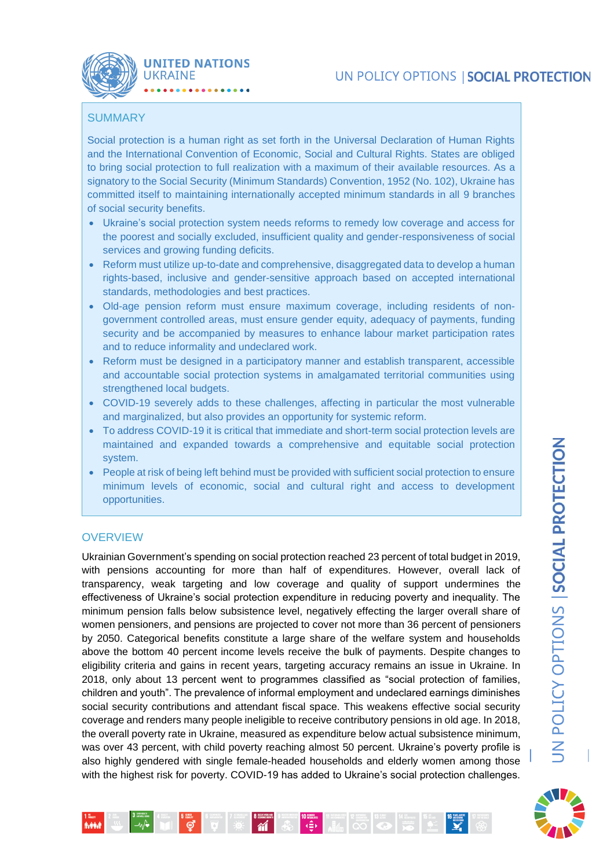

## **SUMMARY**

Social protection is a human right as set forth in the Universal Declaration of Human Rights and the International Convention of Economic, Social and Cultural Rights. States are obliged to bring social protection to full realization with a maximum of their available resources. As a signatory to the Social Security (Minimum Standards) Convention, 1952 (No. 102), Ukraine has committed itself to maintaining internationally accepted minimum standards in all 9 branches of social security benefits.

- Ukraine's social protection system needs reforms to remedy low coverage and access for the poorest and socially excluded, insufficient quality and gender-responsiveness of social services and growing funding deficits.
- Reform must utilize up-to-date and comprehensive, disaggregated data to develop a human rights-based, inclusive and gender-sensitive approach based on accepted international standards, methodologies and best practices.
- Old-age pension reform must ensure maximum coverage, including residents of nongovernment controlled areas, must ensure gender equity, adequacy of payments, funding security and be accompanied by measures to enhance labour market participation rates and to reduce informality and undeclared work.
- Reform must be designed in a participatory manner and establish transparent, accessible and accountable social protection systems in amalgamated territorial communities using strengthened local budgets.
- COVID-19 severely adds to these challenges, affecting in particular the most vulnerable and marginalized, but also provides an opportunity for systemic reform.
- To address COVID-19 it is critical that immediate and short-term social protection levels are maintained and expanded towards a comprehensive and equitable social protection system.
- People at risk of being left behind must be provided with sufficient social protection to ensure minimum levels of economic, social and cultural right and access to development opportunities.

### **OVERVIEW**

**Adda** 

Ukrainian Government's spending on social protection reached 23 percent of total budget in 2019, with pensions accounting for more than half of expenditures. However, overall lack of transparency, weak targeting and low coverage and quality of support undermines the effectiveness of Ukraine's social protection expenditure in reducing poverty and inequality. The minimum pension falls below subsistence level, negatively effecting the larger overall share of women pensioners, and pensions are projected to cover not more than 36 percent of pensioners by 2050. Categorical benefits constitute a large share of the welfare system and households above the bottom 40 percent income levels receive the bulk of payments. Despite changes to eligibility criteria and gains in recent years, targeting accuracy remains an issue in Ukraine. In 2018, only about 13 percent went to programmes classified as "social protection of families, children and youth". The prevalence of informal employment and undeclared earnings diminishes social security contributions and attendant fiscal space. This weakens effective social security coverage and renders many people ineligible to receive contributory pensions in old age. In 2018, the overall poverty rate in Ukraine, measured as expenditure below actual subsistence minimum, was over 43 percent, with child poverty reaching almost 50 percent. Ukraine's poverty profile is also highly gendered with single female-headed households and elderly women among those with the highest risk for poverty. COVID-19 has added to Ukraine's social protection challenges.

 $\overline{M}$  .

**TURES IN BEGINNING** 

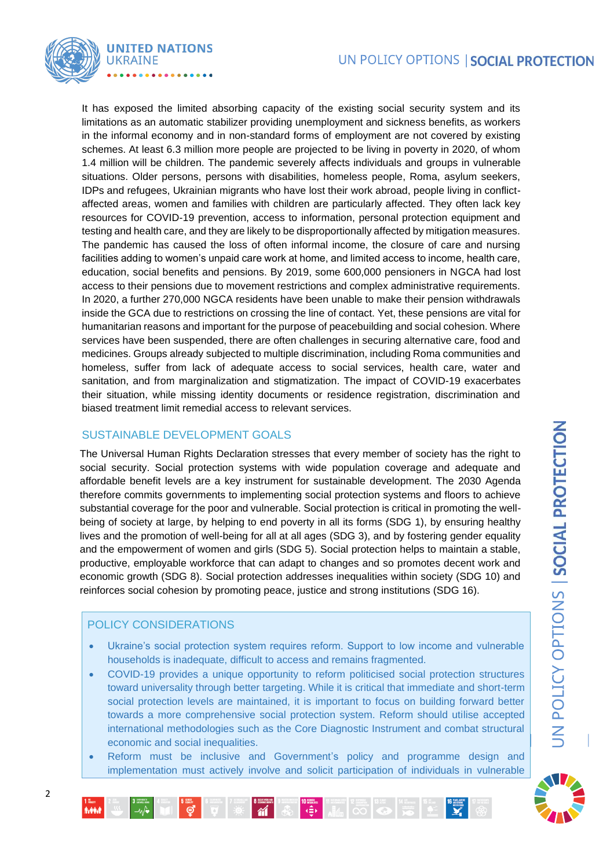# UN POLICY OPTIONS | SOCIAL PROTECTION



It has exposed the limited absorbing capacity of the existing social security system and its limitations as an automatic stabilizer providing unemployment and sickness benefits, as workers in the informal economy and in non-standard forms of employment are not covered by existing schemes. At least 6.3 million more people are projected to be living in poverty in 2020, of whom 1.4 million will be children. The pandemic severely affects individuals and groups in vulnerable situations. Older persons, persons with disabilities, homeless people, Roma, asylum seekers, IDPs and refugees, Ukrainian migrants who have lost their work abroad, people living in conflictaffected areas, women and families with children are particularly affected. They often lack key resources for COVID-19 prevention, access to information, personal protection equipment and testing and health care, and they are likely to be disproportionally affected by mitigation measures. The pandemic has caused the loss of often informal income, the closure of care and nursing facilities adding to women's unpaid care work at home, and limited access to income, health care, education, social benefits and pensions. By 2019, some 600,000 pensioners in NGCA had lost access to their pensions due to movement restrictions and complex administrative requirements. In 2020, a further 270,000 NGCA residents have been unable to make their pension withdrawals inside the GCA due to restrictions on crossing the line of contact. Yet, these pensions are vital for humanitarian reasons and important for the purpose of peacebuilding and social cohesion. Where services have been suspended, there are often challenges in securing alternative care, food and medicines. Groups already subjected to multiple discrimination, including Roma communities and homeless, suffer from lack of adequate access to social services, health care, water and sanitation, and from marginalization and stigmatization. The impact of COVID-19 exacerbates their situation, while missing identity documents or residence registration, discrimination and biased treatment limit remedial access to relevant services.

## SUSTAINABLE DEVELOPMENT GOALS

The Universal Human Rights Declaration stresses that every member of society has the right to social security. Social protection systems with wide population coverage and adequate and affordable benefit levels are a key instrument for sustainable development. The 2030 Agenda therefore commits governments to implementing social protection systems and floors to achieve substantial coverage for the poor and vulnerable. Social protection is critical in promoting the wellbeing of society at large, by helping to end poverty in all its forms (SDG 1), by ensuring healthy lives and the promotion of well-being for all at all ages (SDG 3), and by fostering gender equality and the empowerment of women and girls (SDG 5). Social protection helps to maintain a stable, productive, employable workforce that can adapt to changes and so promotes decent work and economic growth (SDG 8). Social protection addresses inequalities within society (SDG 10) and reinforces social cohesion by promoting peace, justice and strong institutions (SDG 16).

### POLICY CONSIDERATIONS

- Ukraine's social protection system requires reform. Support to low income and vulnerable households is inadequate, difficult to access and remains fragmented.
- COVID-19 provides a unique opportunity to reform politicised social protection structures toward universality through better targeting. While it is critical that immediate and short-term social protection levels are maintained, it is important to focus on building forward better towards a more comprehensive social protection system. Reform should utilise accepted international methodologies such as the Core Diagnostic Instrument and combat structural economic and social inequalities.
- Reform must be inclusive and Government's policy and programme design and implementation must actively involve and solicit participation of individuals in vulnerable

 $\begin{array}{|c|c|c|}\n\hline\n\end{array}$   $\begin{array}{|c|c|}\n\hline\n\end{array}$ 

 $\frac{1}{M}$ 

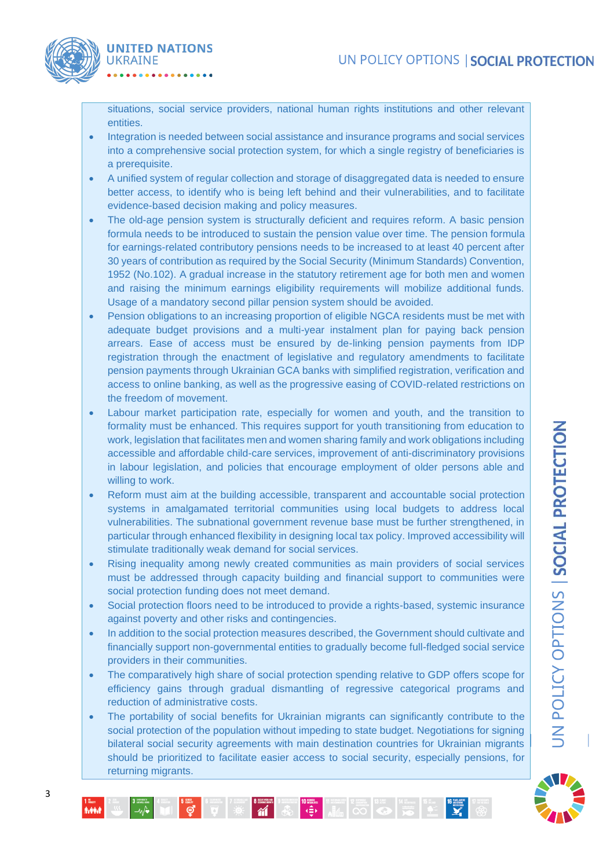

situations, social service providers, national human rights institutions and other relevant entities.

- Integration is needed between social assistance and insurance programs and social services into a comprehensive social protection system, for which a single registry of beneficiaries is a prerequisite.
- A unified system of regular collection and storage of disaggregated data is needed to ensure better access, to identify who is being left behind and their vulnerabilities, and to facilitate evidence-based decision making and policy measures.
- The old-age pension system is structurally deficient and requires reform. A basic pension formula needs to be introduced to sustain the pension value over time. The pension formula for earnings-related contributory pensions needs to be increased to at least 40 percent after 30 years of contribution as required by the Social Security (Minimum Standards) Convention, 1952 (No.102). A gradual increase in the statutory retirement age for both men and women and raising the minimum earnings eligibility requirements will mobilize additional funds. Usage of a mandatory second pillar pension system should be avoided.
- Pension obligations to an increasing proportion of eligible NGCA residents must be met with adequate budget provisions and a multi-year instalment plan for paying back pension arrears. Ease of access must be ensured by de-linking pension payments from IDP registration through the enactment of legislative and regulatory amendments to facilitate pension payments through Ukrainian GCA banks with simplified registration, verification and access to online banking, as well as the progressive easing of COVID-related restrictions on the freedom of movement.
- Labour market participation rate, especially for women and youth, and the transition to formality must be enhanced. This requires support for youth transitioning from education to work, legislation that facilitates men and women sharing family and work obligations including accessible and affordable child-care services, improvement of anti-discriminatory provisions in labour legislation, and policies that encourage employment of older persons able and willing to work.
- Reform must aim at the building accessible, transparent and accountable social protection systems in amalgamated territorial communities using local budgets to address local vulnerabilities. The subnational government revenue base must be further strengthened, in particular through enhanced flexibility in designing local tax policy. Improved accessibility will stimulate traditionally weak demand for social services.
- Rising inequality among newly created communities as main providers of social services must be addressed through capacity building and financial support to communities were social protection funding does not meet demand.
- Social protection floors need to be introduced to provide a rights-based, systemic insurance against poverty and other risks and contingencies.
- In addition to the social protection measures described, the Government should cultivate and financially support non-governmental entities to gradually become full-fledged social service providers in their communities.
- The comparatively high share of social protection spending relative to GDP offers scope for efficiency gains through gradual dismantling of regressive categorical programs and reduction of administrative costs.
- The portability of social benefits for Ukrainian migrants can significantly contribute to the social protection of the population without impeding to state budget. Negotiations for signing bilateral social security agreements with main destination countries for Ukrainian migrants should be prioritized to facilitate easier access to social security, especially pensions, for returning migrants.